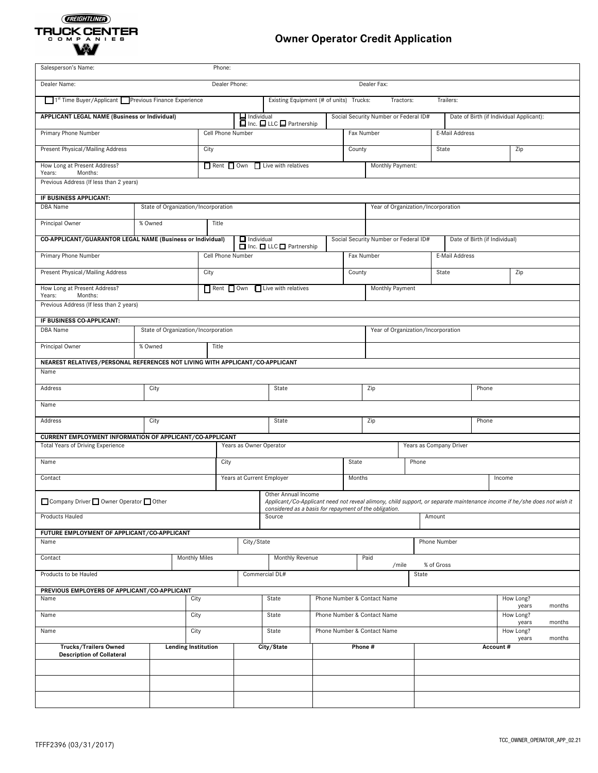# (FREIGHTLINER) TRUCK CENTER

# **Owner Operator Credit Application**

| Salesperson's Name:<br>Phone:                                                       |                                                                                                                                                                                            |                            |                                                   |                             |                                         |                                    |                                    |                                       |                         |                |  |                                          |        |
|-------------------------------------------------------------------------------------|--------------------------------------------------------------------------------------------------------------------------------------------------------------------------------------------|----------------------------|---------------------------------------------------|-----------------------------|-----------------------------------------|------------------------------------|------------------------------------|---------------------------------------|-------------------------|----------------|--|------------------------------------------|--------|
| Dealer Name:<br>Dealer Phone:<br>Dealer Fax:                                        |                                                                                                                                                                                            |                            |                                                   |                             |                                         |                                    |                                    |                                       |                         |                |  |                                          |        |
| 1 <sup>st</sup> Time Buyer/Applicant Previous Finance Experience                    |                                                                                                                                                                                            |                            |                                                   |                             | Existing Equipment (# of units) Trucks: |                                    |                                    |                                       | Tractors:               | Trailers:      |  |                                          |        |
| APPLICANT LEGAL NAME (Business or Individual)                                       |                                                                                                                                                                                            |                            |                                                   |                             | Individual<br>Inc. ILC IPartnership     |                                    |                                    | Social Security Number or Federal ID# |                         |                |  | Date of Birth (if Individual Applicant): |        |
| Primary Phone Number                                                                |                                                                                                                                                                                            |                            | Cell Phone Number                                 |                             |                                         |                                    | Fax Number                         |                                       | E-Mail Address          |                |  |                                          |        |
| Present Physical/Mailing Address                                                    |                                                                                                                                                                                            |                            | City                                              |                             |                                         |                                    | County                             |                                       |                         | State          |  | Zip                                      |        |
| How Long at Present Address?                                                        |                                                                                                                                                                                            |                            | $\Box$ Rent $\Box$ Own $\Box$ Live with relatives |                             |                                         |                                    | Monthly Payment:                   |                                       |                         |                |  |                                          |        |
| Years:<br>Months:<br>Previous Address (If less than 2 years)                        |                                                                                                                                                                                            |                            |                                                   |                             |                                         |                                    |                                    |                                       |                         |                |  |                                          |        |
|                                                                                     |                                                                                                                                                                                            |                            |                                                   |                             |                                         |                                    |                                    |                                       |                         |                |  |                                          |        |
| IF BUSINESS APPLICANT:<br>DBA Name                                                  | State of Organization/Incorporation                                                                                                                                                        |                            |                                                   |                             |                                         |                                    | Year of Organization/Incorporation |                                       |                         |                |  |                                          |        |
| Principal Owner                                                                     | % Owned                                                                                                                                                                                    |                            | Title                                             |                             |                                         |                                    |                                    |                                       |                         |                |  |                                          |        |
|                                                                                     |                                                                                                                                                                                            |                            |                                                   | $\Box$ Individual           |                                         |                                    |                                    |                                       |                         |                |  |                                          |        |
| Primary Phone Number                                                                | CO-APPLICANT/GUARANTOR LEGAL NAME (Business or Individual)<br>Social Security Number or Federal ID#<br>Date of Birth (if Individual)<br>□ Inc. □ LLC □ Partnership                         |                            |                                                   |                             |                                         |                                    |                                    |                                       |                         |                |  |                                          |        |
|                                                                                     |                                                                                                                                                                                            |                            | Cell Phone Number                                 |                             |                                         |                                    | Fax Number                         |                                       |                         | E-Mail Address |  |                                          |        |
| Present Physical/Mailing Address                                                    |                                                                                                                                                                                            |                            | City                                              |                             |                                         |                                    |                                    | County                                |                         | State          |  | Zip                                      |        |
| How Long at Present Address?<br>Years:<br>Months:                                   |                                                                                                                                                                                            |                            | Rent Own Live with relatives                      |                             |                                         |                                    |                                    |                                       | Monthly Payment         |                |  |                                          |        |
| Previous Address (If less than 2 years)                                             |                                                                                                                                                                                            |                            |                                                   |                             |                                         |                                    |                                    |                                       |                         |                |  |                                          |        |
| IF BUSINESS CO-APPLICANT:                                                           |                                                                                                                                                                                            |                            |                                                   |                             |                                         |                                    |                                    |                                       |                         |                |  |                                          |        |
| DBA Name                                                                            | State of Organization/Incorporation                                                                                                                                                        |                            |                                                   |                             |                                         | Year of Organization/Incorporation |                                    |                                       |                         |                |  |                                          |        |
| Principal Owner                                                                     | % Owned<br>Title                                                                                                                                                                           |                            |                                                   |                             |                                         |                                    |                                    |                                       |                         |                |  |                                          |        |
| NEAREST RELATIVES/PERSONAL REFERENCES NOT LIVING WITH APPLICANT/CO-APPLICANT        |                                                                                                                                                                                            |                            |                                                   |                             |                                         |                                    |                                    |                                       |                         |                |  |                                          |        |
| Name                                                                                |                                                                                                                                                                                            |                            |                                                   |                             |                                         |                                    |                                    |                                       |                         |                |  |                                          |        |
| Address                                                                             | City                                                                                                                                                                                       |                            |                                                   | State                       |                                         |                                    | Zip                                | Phone                                 |                         |                |  |                                          |        |
| Name                                                                                |                                                                                                                                                                                            |                            |                                                   |                             |                                         |                                    |                                    |                                       |                         |                |  |                                          |        |
| Address                                                                             | City                                                                                                                                                                                       |                            |                                                   | State                       |                                         |                                    | Zip                                |                                       |                         | Phone          |  |                                          |        |
|                                                                                     | CURRENT EMPLOYMENT INFORMATION OF APPLICANT/CO-APPLICANT                                                                                                                                   |                            |                                                   |                             |                                         |                                    |                                    |                                       |                         |                |  |                                          |        |
| <b>Total Years of Driving Experience</b><br>Years as Owner Operator                 |                                                                                                                                                                                            |                            |                                                   |                             |                                         |                                    |                                    |                                       | Years as Company Driver |                |  |                                          |        |
| Name                                                                                | City                                                                                                                                                                                       |                            |                                                   |                             | State                                   |                                    |                                    | Phone                                 |                         |                |  |                                          |        |
| Contact                                                                             | Years at Current Employer                                                                                                                                                                  |                            | Months                                            |                             |                                         |                                    |                                    | Income                                |                         |                |  |                                          |        |
|                                                                                     | Other Annual Income<br>Company Driver D Owner Operator D Other<br>Applicant/Co-Applicant need not reveal alimony, child support, or separate maintenance income if he/she does not wish it |                            |                                                   |                             |                                         |                                    |                                    |                                       |                         |                |  |                                          |        |
| considered as a basis for repayment of the obligation.<br>Products Hauled<br>Source |                                                                                                                                                                                            |                            |                                                   | Amount                      |                                         |                                    |                                    |                                       |                         |                |  |                                          |        |
| FUTURE EMPLOYMENT OF APPLICANT/CO-APPLICANT                                         |                                                                                                                                                                                            |                            |                                                   |                             |                                         |                                    |                                    |                                       |                         |                |  |                                          |        |
| Name                                                                                |                                                                                                                                                                                            |                            |                                                   | City/State                  |                                         |                                    |                                    |                                       |                         | Phone Number   |  |                                          |        |
| Contact                                                                             |                                                                                                                                                                                            | <b>Monthly Miles</b>       |                                                   |                             | Monthly Revenue                         |                                    |                                    | Paid<br>/mile                         |                         | % of Gross     |  |                                          |        |
| Products to be Hauled                                                               |                                                                                                                                                                                            | Commercial DL#             |                                                   |                             |                                         | State                              |                                    |                                       |                         |                |  |                                          |        |
| PREVIOUS EMPLOYERS OF APPLICANT/CO-APPLICANT                                        |                                                                                                                                                                                            |                            |                                                   |                             |                                         |                                    |                                    |                                       |                         |                |  |                                          |        |
| City<br>Name                                                                        |                                                                                                                                                                                            |                            | State                                             |                             | Phone Number & Contact Name             |                                    | How Long?<br>years                 |                                       | months                  |                |  |                                          |        |
| Name<br>City                                                                        |                                                                                                                                                                                            | State                      |                                                   | Phone Number & Contact Name |                                         |                                    | How Long?<br>years                 |                                       | months                  |                |  |                                          |        |
| Name                                                                                |                                                                                                                                                                                            | City                       |                                                   |                             | State                                   |                                    |                                    | Phone Number & Contact Name           |                         |                |  | How Long?<br>years                       | months |
| <b>Trucks/Trailers Owned</b><br><b>Description of Collateral</b>                    |                                                                                                                                                                                            | <b>Lending Institution</b> |                                                   |                             | City/State                              | Phone#                             |                                    |                                       |                         | Account#       |  |                                          |        |
|                                                                                     |                                                                                                                                                                                            |                            |                                                   |                             |                                         |                                    |                                    |                                       |                         |                |  |                                          |        |
|                                                                                     |                                                                                                                                                                                            |                            |                                                   |                             |                                         |                                    |                                    |                                       |                         |                |  |                                          |        |
|                                                                                     |                                                                                                                                                                                            |                            |                                                   |                             |                                         |                                    |                                    |                                       |                         |                |  |                                          |        |
|                                                                                     |                                                                                                                                                                                            |                            |                                                   |                             |                                         |                                    |                                    |                                       |                         |                |  |                                          |        |